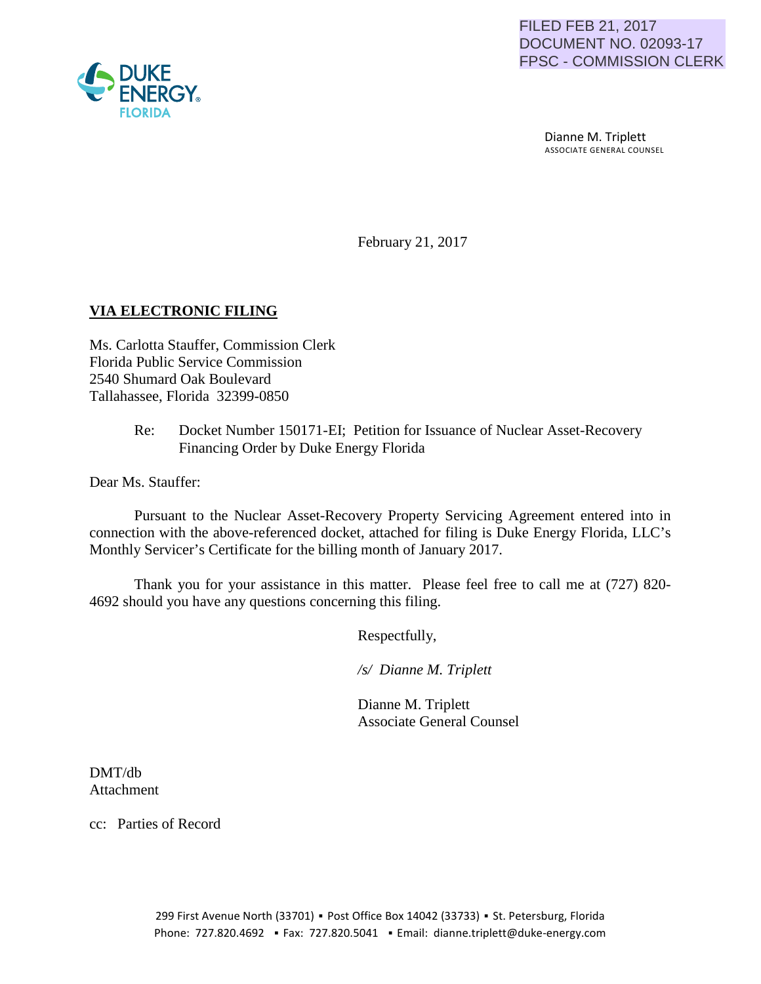

### FILED FEB 21, 2017 DOCUMENT NO. 02093-17 FPSC - COMMISSION CLERK

 Dianne M. Triplett ASSOCIATE GENERAL COUNSEL

February 21, 2017

# **VIA ELECTRONIC FILING**

Ms. Carlotta Stauffer, Commission Clerk Florida Public Service Commission 2540 Shumard Oak Boulevard Tallahassee, Florida 32399-0850

> Re: Docket Number 150171-EI; Petition for Issuance of Nuclear Asset-Recovery Financing Order by Duke Energy Florida

Dear Ms. Stauffer:

Pursuant to the Nuclear Asset-Recovery Property Servicing Agreement entered into in connection with the above-referenced docket, attached for filing is Duke Energy Florida, LLC's Monthly Servicer's Certificate for the billing month of January 2017.

Thank you for your assistance in this matter. Please feel free to call me at (727) 820- 4692 should you have any questions concerning this filing.

Respectfully,

 */s/ Dianne M. Triplett*

 Dianne M. Triplett Associate General Counsel

DMT/db Attachment

cc: Parties of Record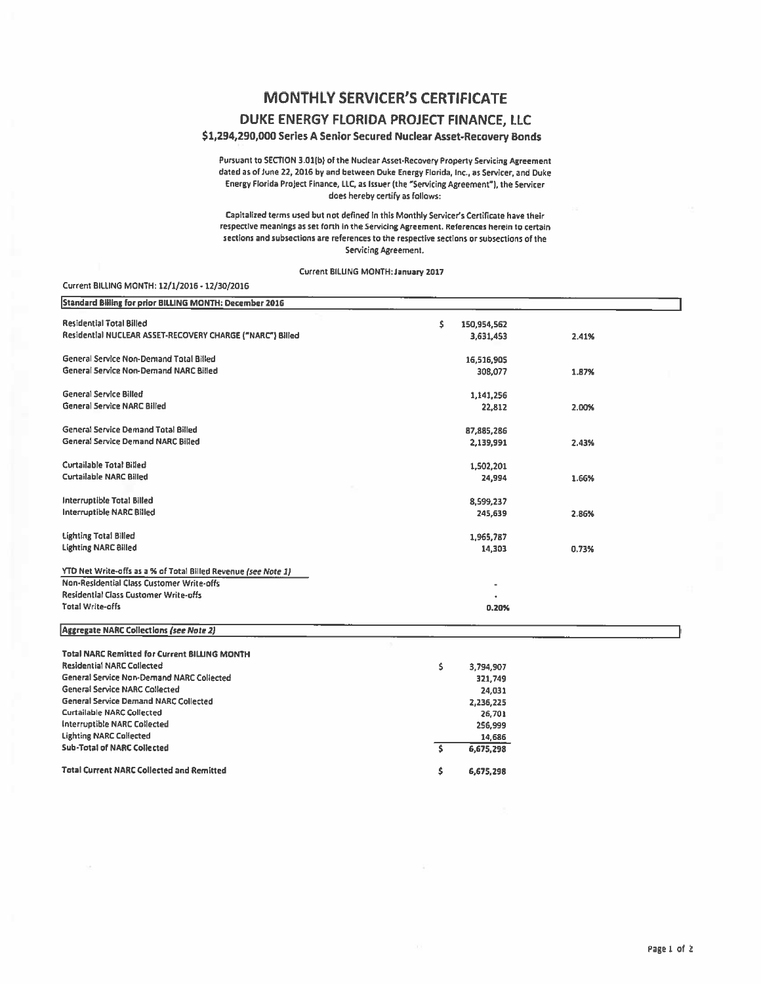## MONTHLY SERVICER'S CERTIFICATE

### DUKE ENERGY FLORIDA PROJECT FINANCE, llC

### \$1,294,290,000 Series A Senior Secured Nuclear Asset-Recovery Bonds

Pursuant to SECTION 3.01(b) of the Nuclear Asset-Recovery Property Servicing Agreement dated as of June 22, 2016 by and between Duke Energy Florida, Inc., as Servicer, and Duke Enerav Flofida Project Finance, LLC. as Issuer (the "Servicing Agreement"), the Servicer does hereby certify as follows:

Capitalired terms used but not defined In this Monthly Servlcer's Certificate have their respective meanings as set forth in the Servicing Agreement. References herein to certain sections and subsections are references to the respective sections or subsections of the Servicing Agreement.

Current BILLING MONTH: January 2017

#### Current BILLING MONTH: 12/1/2016 • 12/30/2016

| Standard Billing for prior BILLING MONTH: December 2016        |                   |       |  |
|----------------------------------------------------------------|-------------------|-------|--|
| <b>Residential Total Billed</b>                                | \$<br>150,954,562 |       |  |
| Residential NUCLEAR ASSET-RECOVERY CHARGE ("NARC") Billed      | 3,631,453         | 2.41% |  |
| General Service Non-Demand Total Billed                        | 16,516,905        |       |  |
| General Service Non-Demand NARC Billed                         | 308,077           | 1.87% |  |
| <b>General Service Billed</b>                                  | 1,141,256         |       |  |
| <b>General Service NARC Billed</b>                             | 22,812            | 2.00% |  |
| General Service Demand Total Billed                            | 87,885,286        |       |  |
| <b>General Service Demand NARC Billed</b>                      | 2,139,991         | 2.43% |  |
| <b>Curtailable Total Billed</b>                                | 1,502,201         |       |  |
| <b>Curtailable NARC Billed</b>                                 | 24,994            | 1.66% |  |
| <b>Interruptible Total Billed</b>                              | 8,599,237         |       |  |
| Interruptible NARC Billed                                      | 245,639           | 2.86% |  |
| <b>Lighting Total Billed</b>                                   | 1,965,787         |       |  |
| <b>Lighting NARC Billed</b>                                    | 14,303            | 0.73% |  |
| YTD Net Write-offs as a % of Total Billed Revenue (see Note 1) |                   |       |  |
| <b>Non-Residential Class Customer Write-offs</b>               |                   |       |  |
| <b>Residential Class Customer Write-offs</b>                   |                   |       |  |
| <b>Total Write-offs</b>                                        | 0.20%             |       |  |
| Aggregate NARC Collections (see Note 2)                        |                   |       |  |
| <b>Total NARC Remitted for Current BILLING MONTH</b>           |                   |       |  |
| <b>Residential NARC Collected</b>                              | \$<br>3,794,907   |       |  |
| <b>General Service Non-Demand NARC Collected</b>               | 321,749           |       |  |
| General Service NARC Collected                                 | 24,031            |       |  |
| <b>General Service Demand NARC Collected</b>                   | 2,236,225         |       |  |
| <b>Curtailable NARC Collected</b>                              | 26,701            |       |  |
| <b>Interruptible NARC Collected</b>                            | 256,999           |       |  |
| <b>Lighting NARC Collected</b>                                 | 14,686            |       |  |
| <b>Sub-Total of NARC Collected</b>                             | Ś.<br>6,675,298   |       |  |
| <b>Total Current NARC Collected and Remitted</b>               | \$<br>6,675,298   |       |  |